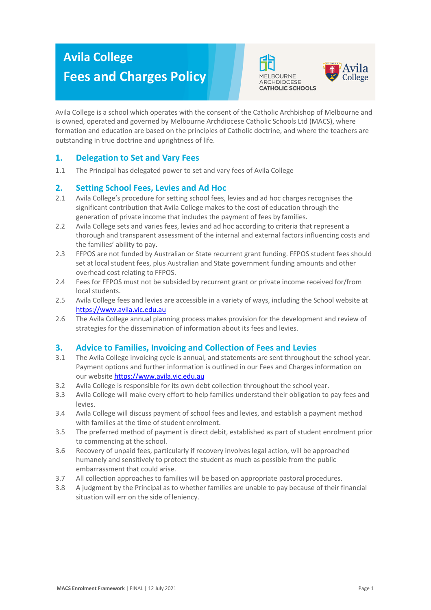# **Avila College Fees and Charges Policy**





Avila College is a school which operates with the consent of the Catholic Archbishop of Melbourne and is owned, operated and governed by Melbourne Archdiocese Catholic Schools Ltd (MACS), where formation and education are based on the principles of Catholic doctrine, and where the teachers are outstanding in true doctrine and uprightness of life.

# **1. Delegation to Set and Vary Fees**

1.1 The Principal has delegated power to set and vary fees of Avila College

## **2. Setting School Fees, Levies and Ad Hoc**

- 2.1 Avila College's procedure for setting school fees, levies and ad hoc charges recognises the significant contribution that Avila College makes to the cost of education through the generation of private income that includes the payment of fees by families.
- 2.2 Avila College sets and varies fees, levies and ad hoc according to criteria that represent a thorough and transparent assessment of the internal and external factors influencing costs and the families' ability to pay.
- 2.3 FFPOS are not funded by Australian or State recurrent grant funding. FFPOS student fees should set at local student fees, plus Australian and State government funding amounts and other overhead cost relating to FFPOS.
- 2.4 Fees for FFPOS must not be subsided by recurrent grant or private income received for/from local students.
- 2.5 Avila College fees and levies are accessible in a variety of ways, including the School website at https://www.avila.vic.edu.au
- 2.6 The Avila College annual planning process makes provision for the development and review of strategies for the dissemination of information about its fees and levies.

## **3. Advice to Families, Invoicing and Collection of Fees and Levies**

- 3.1 The Avila College invoicing cycle is annual, and statements are sent throughout the school year. Payment options and further information is outlined in our Fees and Charges information on our website https://www.avila.vic.edu.au
- 3.2 Avila College is responsible for its own debt collection throughout the school year.
- 3.3 Avila College will make every effort to help families understand their obligation to pay fees and levies.
- 3.4 Avila College will discuss payment of school fees and levies, and establish a payment method with families at the time of student enrolment.
- 3.5 The preferred method of payment is direct debit, established as part of student enrolment prior to commencing at the school.
- 3.6 Recovery of unpaid fees, particularly if recovery involves legal action, will be approached humanely and sensitively to protect the student as much as possible from the public embarrassment that could arise.
- 3.7 All collection approaches to families will be based on appropriate pastoral procedures.
- 3.8 A judgment by the Principal as to whether families are unable to pay because of their financial situation will err on the side of leniency.